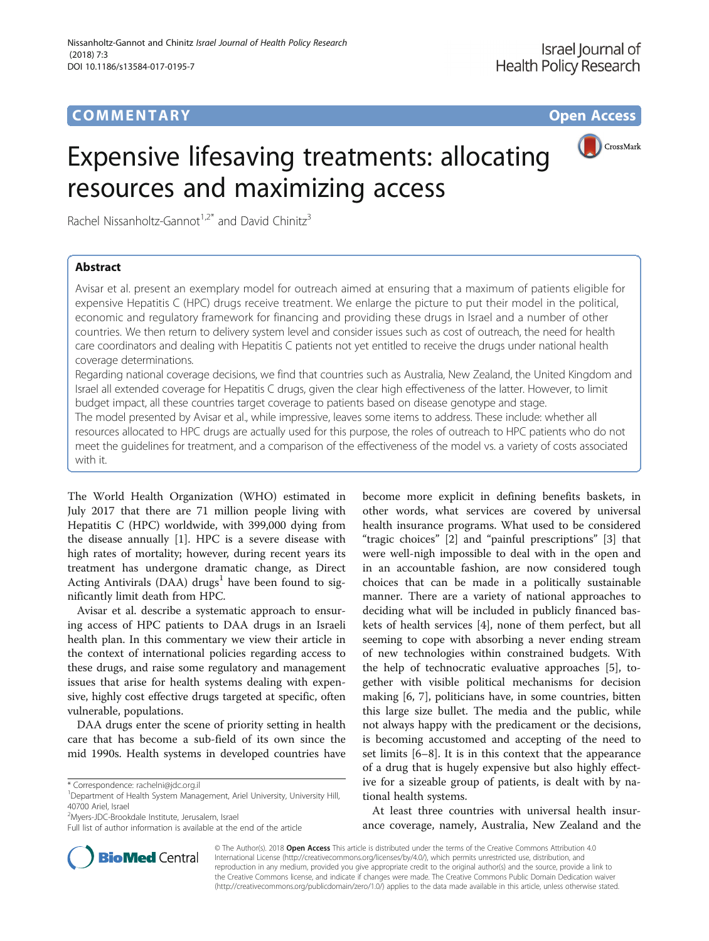# **COMMENTARY COMMENTARY Open Access**



# Expensive lifesaving treatments: allocating resources and maximizing access

Rachel Nissanholtz-Gannot<sup>1,2\*</sup> and David Chinitz<sup>3</sup>

# Abstract

Avisar et al. present an exemplary model for outreach aimed at ensuring that a maximum of patients eligible for expensive Hepatitis C (HPC) drugs receive treatment. We enlarge the picture to put their model in the political, economic and regulatory framework for financing and providing these drugs in Israel and a number of other countries. We then return to delivery system level and consider issues such as cost of outreach, the need for health care coordinators and dealing with Hepatitis C patients not yet entitled to receive the drugs under national health coverage determinations.

Regarding national coverage decisions, we find that countries such as Australia, New Zealand, the United Kingdom and Israel all extended coverage for Hepatitis C drugs, given the clear high effectiveness of the latter. However, to limit budget impact, all these countries target coverage to patients based on disease genotype and stage.

The model presented by Avisar et al., while impressive, leaves some items to address. These include: whether all resources allocated to HPC drugs are actually used for this purpose, the roles of outreach to HPC patients who do not meet the guidelines for treatment, and a comparison of the effectiveness of the model vs. a variety of costs associated with it.

The World Health Organization (WHO) estimated in July 2017 that there are 71 million people living with Hepatitis C (HPC) worldwide, with 399,000 dying from the disease annually [[1\]](#page-2-0). HPC is a severe disease with high rates of mortality; however, during recent years its treatment has undergone dramatic change, as Direct Acting Antivirals (DAA) drugs<sup>1</sup> have been found to significantly limit death from HPC.

Avisar et al. describe a systematic approach to ensuring access of HPC patients to DAA drugs in an Israeli health plan. In this commentary we view their article in the context of international policies regarding access to these drugs, and raise some regulatory and management issues that arise for health systems dealing with expensive, highly cost effective drugs targeted at specific, often vulnerable, populations.

DAA drugs enter the scene of priority setting in health care that has become a sub-field of its own since the mid 1990s. Health systems in developed countries have

<sup>2</sup>Myers-JDC-Brookdale Institute, Jerusalem, Israel

become more explicit in defining benefits baskets, in other words, what services are covered by universal health insurance programs. What used to be considered "tragic choices" [[2\]](#page-2-0) and "painful prescriptions" [[3\]](#page-2-0) that were well-nigh impossible to deal with in the open and in an accountable fashion, are now considered tough choices that can be made in a politically sustainable manner. There are a variety of national approaches to deciding what will be included in publicly financed baskets of health services [[4\]](#page-2-0), none of them perfect, but all seeming to cope with absorbing a never ending stream of new technologies within constrained budgets. With the help of technocratic evaluative approaches [[5\]](#page-2-0), together with visible political mechanisms for decision making [\[6](#page-2-0), [7\]](#page-2-0), politicians have, in some countries, bitten this large size bullet. The media and the public, while not always happy with the predicament or the decisions, is becoming accustomed and accepting of the need to set limits [\[6](#page-2-0)–[8\]](#page-3-0). It is in this context that the appearance of a drug that is hugely expensive but also highly effective for a sizeable group of patients, is dealt with by national health systems.

At least three countries with universal health insurance coverage, namely, Australia, New Zealand and the



© The Author(s). 2018 Open Access This article is distributed under the terms of the Creative Commons Attribution 4.0 International License [\(http://creativecommons.org/licenses/by/4.0/](http://creativecommons.org/licenses/by/4.0/)), which permits unrestricted use, distribution, and reproduction in any medium, provided you give appropriate credit to the original author(s) and the source, provide a link to the Creative Commons license, and indicate if changes were made. The Creative Commons Public Domain Dedication waiver [\(http://creativecommons.org/publicdomain/zero/1.0/](http://creativecommons.org/publicdomain/zero/1.0/)) applies to the data made available in this article, unless otherwise stated.

<sup>\*</sup> Correspondence: [rachelni@jdc.org.il](mailto:rachelni@jdc.org.il) <sup>1</sup>

<sup>&</sup>lt;sup>1</sup>Department of Health System Management, Ariel University, University Hill, 40700 Ariel, Israel

Full list of author information is available at the end of the article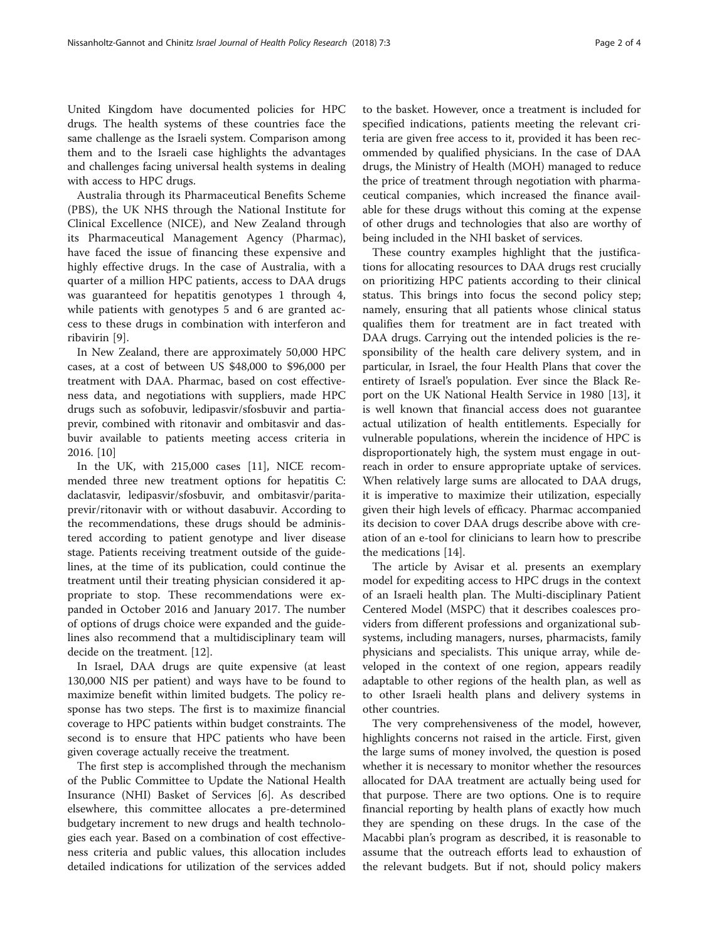United Kingdom have documented policies for HPC drugs. The health systems of these countries face the same challenge as the Israeli system. Comparison among them and to the Israeli case highlights the advantages and challenges facing universal health systems in dealing with access to HPC drugs.

Australia through its Pharmaceutical Benefits Scheme (PBS), the UK NHS through the National Institute for Clinical Excellence (NICE), and New Zealand through its Pharmaceutical Management Agency (Pharmac), have faced the issue of financing these expensive and highly effective drugs. In the case of Australia, with a quarter of a million HPC patients, access to DAA drugs was guaranteed for hepatitis genotypes 1 through 4, while patients with genotypes 5 and 6 are granted access to these drugs in combination with interferon and ribavirin [[9](#page-3-0)].

In New Zealand, there are approximately 50,000 HPC cases, at a cost of between US \$48,000 to \$96,000 per treatment with DAA. Pharmac, based on cost effectiveness data, and negotiations with suppliers, made HPC drugs such as sofobuvir, ledipasvir/sfosbuvir and partiaprevir, combined with ritonavir and ombitasvir and dasbuvir available to patients meeting access criteria in 2016. [[10](#page-3-0)]

In the UK, with 215,000 cases [\[11](#page-3-0)], NICE recommended three new treatment options for hepatitis C: daclatasvir, ledipasvir/sfosbuvir, and ombitasvir/paritaprevir/ritonavir with or without dasabuvir. According to the recommendations, these drugs should be administered according to patient genotype and liver disease stage. Patients receiving treatment outside of the guidelines, at the time of its publication, could continue the treatment until their treating physician considered it appropriate to stop. These recommendations were expanded in October 2016 and January 2017. The number of options of drugs choice were expanded and the guidelines also recommend that a multidisciplinary team will decide on the treatment. [\[12](#page-3-0)].

In Israel, DAA drugs are quite expensive (at least 130,000 NIS per patient) and ways have to be found to maximize benefit within limited budgets. The policy response has two steps. The first is to maximize financial coverage to HPC patients within budget constraints. The second is to ensure that HPC patients who have been given coverage actually receive the treatment.

The first step is accomplished through the mechanism of the Public Committee to Update the National Health Insurance (NHI) Basket of Services [[6\]](#page-2-0). As described elsewhere, this committee allocates a pre-determined budgetary increment to new drugs and health technologies each year. Based on a combination of cost effectiveness criteria and public values, this allocation includes detailed indications for utilization of the services added to the basket. However, once a treatment is included for specified indications, patients meeting the relevant criteria are given free access to it, provided it has been recommended by qualified physicians. In the case of DAA drugs, the Ministry of Health (MOH) managed to reduce the price of treatment through negotiation with pharmaceutical companies, which increased the finance available for these drugs without this coming at the expense of other drugs and technologies that also are worthy of being included in the NHI basket of services.

These country examples highlight that the justifications for allocating resources to DAA drugs rest crucially on prioritizing HPC patients according to their clinical status. This brings into focus the second policy step; namely, ensuring that all patients whose clinical status qualifies them for treatment are in fact treated with DAA drugs. Carrying out the intended policies is the responsibility of the health care delivery system, and in particular, in Israel, the four Health Plans that cover the entirety of Israel's population. Ever since the Black Report on the UK National Health Service in 1980 [\[13\]](#page-3-0), it is well known that financial access does not guarantee actual utilization of health entitlements. Especially for vulnerable populations, wherein the incidence of HPC is disproportionately high, the system must engage in outreach in order to ensure appropriate uptake of services. When relatively large sums are allocated to DAA drugs, it is imperative to maximize their utilization, especially given their high levels of efficacy. Pharmac accompanied its decision to cover DAA drugs describe above with creation of an e-tool for clinicians to learn how to prescribe the medications [[14\]](#page-3-0).

The article by Avisar et al. presents an exemplary model for expediting access to HPC drugs in the context of an Israeli health plan. The Multi-disciplinary Patient Centered Model (MSPC) that it describes coalesces providers from different professions and organizational subsystems, including managers, nurses, pharmacists, family physicians and specialists. This unique array, while developed in the context of one region, appears readily adaptable to other regions of the health plan, as well as to other Israeli health plans and delivery systems in other countries.

The very comprehensiveness of the model, however, highlights concerns not raised in the article. First, given the large sums of money involved, the question is posed whether it is necessary to monitor whether the resources allocated for DAA treatment are actually being used for that purpose. There are two options. One is to require financial reporting by health plans of exactly how much they are spending on these drugs. In the case of the Macabbi plan's program as described, it is reasonable to assume that the outreach efforts lead to exhaustion of the relevant budgets. But if not, should policy makers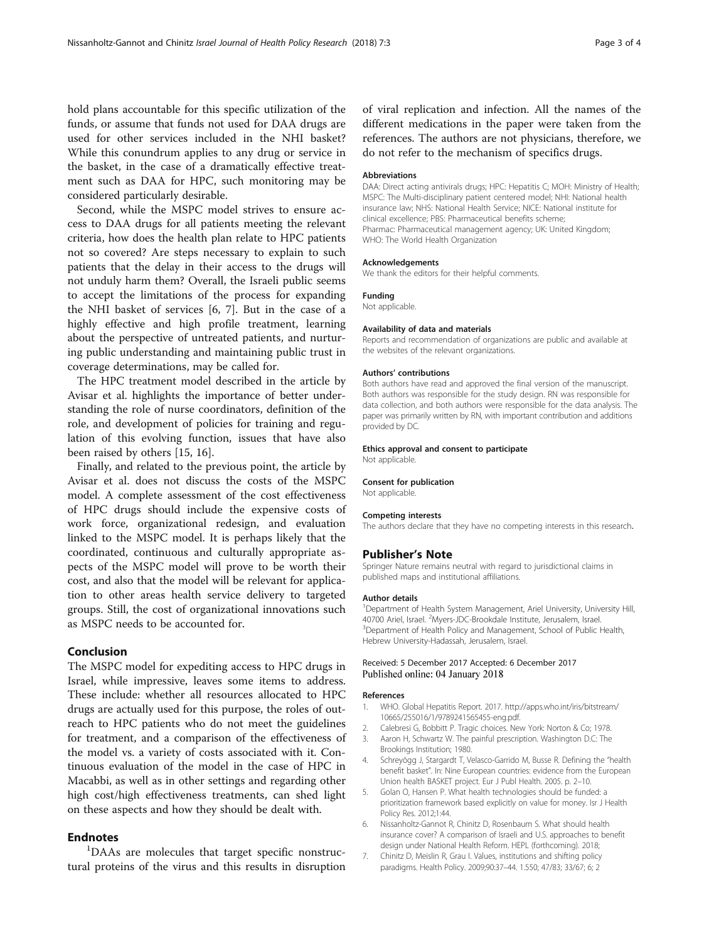<span id="page-2-0"></span>hold plans accountable for this specific utilization of the funds, or assume that funds not used for DAA drugs are used for other services included in the NHI basket? While this conundrum applies to any drug or service in the basket, in the case of a dramatically effective treatment such as DAA for HPC, such monitoring may be considered particularly desirable.

Second, while the MSPC model strives to ensure access to DAA drugs for all patients meeting the relevant criteria, how does the health plan relate to HPC patients not so covered? Are steps necessary to explain to such patients that the delay in their access to the drugs will not unduly harm them? Overall, the Israeli public seems to accept the limitations of the process for expanding the NHI basket of services [6, 7]. But in the case of a highly effective and high profile treatment, learning about the perspective of untreated patients, and nurturing public understanding and maintaining public trust in coverage determinations, may be called for.

The HPC treatment model described in the article by Avisar et al. highlights the importance of better understanding the role of nurse coordinators, definition of the role, and development of policies for training and regulation of this evolving function, issues that have also been raised by others [[15, 16\]](#page-3-0).

Finally, and related to the previous point, the article by Avisar et al. does not discuss the costs of the MSPC model. A complete assessment of the cost effectiveness of HPC drugs should include the expensive costs of work force, organizational redesign, and evaluation linked to the MSPC model. It is perhaps likely that the coordinated, continuous and culturally appropriate aspects of the MSPC model will prove to be worth their cost, and also that the model will be relevant for application to other areas health service delivery to targeted groups. Still, the cost of organizational innovations such as MSPC needs to be accounted for.

## Conclusion

The MSPC model for expediting access to HPC drugs in Israel, while impressive, leaves some items to address. These include: whether all resources allocated to HPC drugs are actually used for this purpose, the roles of outreach to HPC patients who do not meet the guidelines for treatment, and a comparison of the effectiveness of the model vs. a variety of costs associated with it. Continuous evaluation of the model in the case of HPC in Macabbi, as well as in other settings and regarding other high cost/high effectiveness treatments, can shed light on these aspects and how they should be dealt with.

## Endnotes

<sup>1</sup>DAAs are molecules that target specific nonstructural proteins of the virus and this results in disruption of viral replication and infection. All the names of the different medications in the paper were taken from the references. The authors are not physicians, therefore, we do not refer to the mechanism of specifics drugs.

#### Abbreviations

DAA: Direct acting antivirals drugs; HPC: Hepatitis C; MOH: Ministry of Health; MSPC: The Multi-disciplinary patient centered model; NHI: National health insurance law; NHS: National Health Service; NICE: National institute for clinical excellence; PBS: Pharmaceutical benefits scheme; Pharmac: Pharmaceutical management agency; UK: United Kingdom; WHO: The World Health Organization

#### Acknowledgements

We thank the editors for their helpful comments.

Funding

Not applicable.

#### Availability of data and materials

Reports and recommendation of organizations are public and available at the websites of the relevant organizations.

#### Authors' contributions

Both authors have read and approved the final version of the manuscript. Both authors was responsible for the study design. RN was responsible for data collection, and both authors were responsible for the data analysis. The paper was primarily written by RN, with important contribution and additions provided by DC.

#### Ethics approval and consent to participate

Not applicable.

#### Consent for publication

Not applicable.

#### Competing interests

The authors declare that they have no competing interests in this research.

#### Publisher's Note

Springer Nature remains neutral with regard to jurisdictional claims in published maps and institutional affiliations.

#### Author details

<sup>1</sup>Department of Health System Management, Ariel University, University Hill 40700 Ariel, Israel. <sup>2</sup> Myers-JDC-Brookdale Institute, Jerusalem, Israel.<br><sup>3</sup> Department of Hoalth Bolicy and Management, School of Bublic. <sup>3</sup>Department of Health Policy and Management, School of Public Health, Hebrew University-Hadassah, Jerusalem, Israel.

### Received: 5 December 2017 Accepted: 6 December 2017 Published online: 04 January 2018

#### References

- 1. WHO. Global Hepatitis Report. 2017. [http://apps.who.int/iris/bitstream/](http://apps.who.int/iris/bitstream/10665/255016/1/9789241565455-eng.pdf) [10665/255016/1/9789241565455-eng.pdf](http://apps.who.int/iris/bitstream/10665/255016/1/9789241565455-eng.pdf).
- 2. Calebresi G, Bobbitt P. Tragic choices. New York: Norton & Co; 1978.
- 3. Aaron H, Schwartz W. The painful prescription. Washington D.C: The Brookings Institution; 1980.
- 4. Schreyögg J, Stargardt T, Velasco-Garrido M, Busse R. Defining the "health benefit basket". In: Nine European countries: evidence from the European Union health BASKET project. Eur J Publ Health. 2005. p. 2–10.
- 5. Golan O, Hansen P. What health technologies should be funded: a prioritization framework based explicitly on value for money. Isr J Health Policy Res. 2012;1:44.
- 6. Nissanholtz-Gannot R, Chinitz D, Rosenbaum S. What should health insurance cover? A comparison of Israeli and U.S. approaches to benefit design under National Health Reform. HEPL (forthcoming). 2018;
- 7. Chinitz D, Meislin R, Grau I. Values, institutions and shifting policy paradigms. Health Policy. 2009;90:37–44. 1.550; 47/83; 33/67; 6; 2